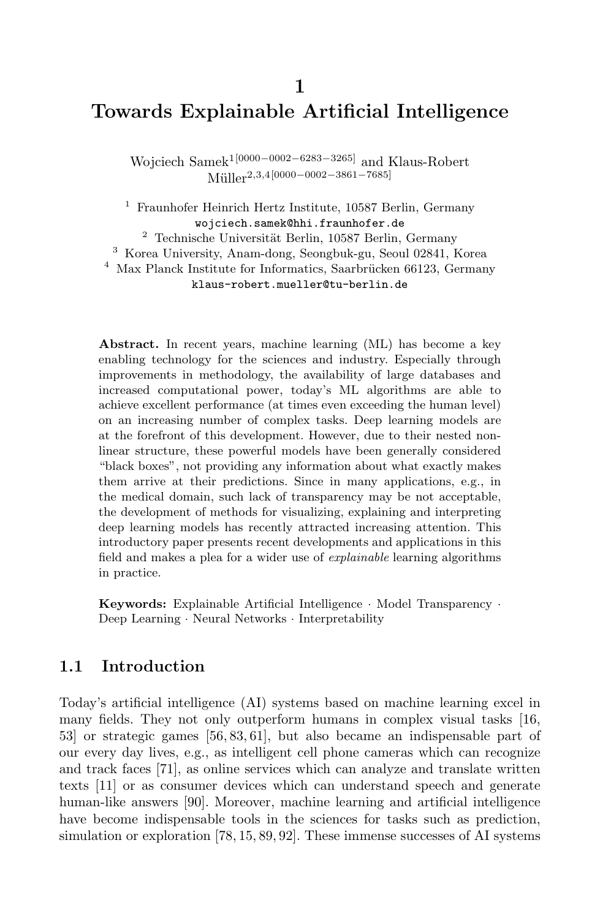# Towards Explainable Artificial Intelligence

Wojciech Samek<sup>1[0000–0002–6283–3265]</sup> and Klaus-Robert Müller<sup>2,3,4</sup>[0000-0002-3861-7685]

<sup>1</sup> Fraunhofer Heinrich Hertz Institute, 10587 Berlin, Germany wojciech.samek@hhi.fraunhofer.de

 $2$  Technische Universität Berlin, 10587 Berlin, Germany

<sup>3</sup> Korea University, Anam-dong, Seongbuk-gu, Seoul 02841, Korea

 $4$  Max Planck Institute for Informatics, Saarbrücken 66123, Germany klaus-robert.mueller@tu-berlin.de

Abstract. In recent years, machine learning (ML) has become a key enabling technology for the sciences and industry. Especially through improvements in methodology, the availability of large databases and increased computational power, today's ML algorithms are able to achieve excellent performance (at times even exceeding the human level) on an increasing number of complex tasks. Deep learning models are at the forefront of this development. However, due to their nested nonlinear structure, these powerful models have been generally considered "black boxes", not providing any information about what exactly makes them arrive at their predictions. Since in many applications, e.g., in the medical domain, such lack of transparency may be not acceptable, the development of methods for visualizing, explaining and interpreting deep learning models has recently attracted increasing attention. This introductory paper presents recent developments and applications in this field and makes a plea for a wider use of *explainable* learning algorithms in practice.

Keywords: Explainable Artificial Intelligence *·* Model Transparency *·* Deep Learning *·* Neural Networks *·* Interpretability

# 1.1 Introduction

Today's artificial intelligence (AI) systems based on machine learning excel in many fields. They not only outperform humans in complex visual tasks [16, 53] or strategic games [56, 83, 61], but also became an indispensable part of our every day lives, e.g., as intelligent cell phone cameras which can recognize and track faces [71], as online services which can analyze and translate written texts [11] or as consumer devices which can understand speech and generate human-like answers [90]. Moreover, machine learning and artificial intelligence have become indispensable tools in the sciences for tasks such as prediction, simulation or exploration [78, 15, 89, 92]. These immense successes of AI systems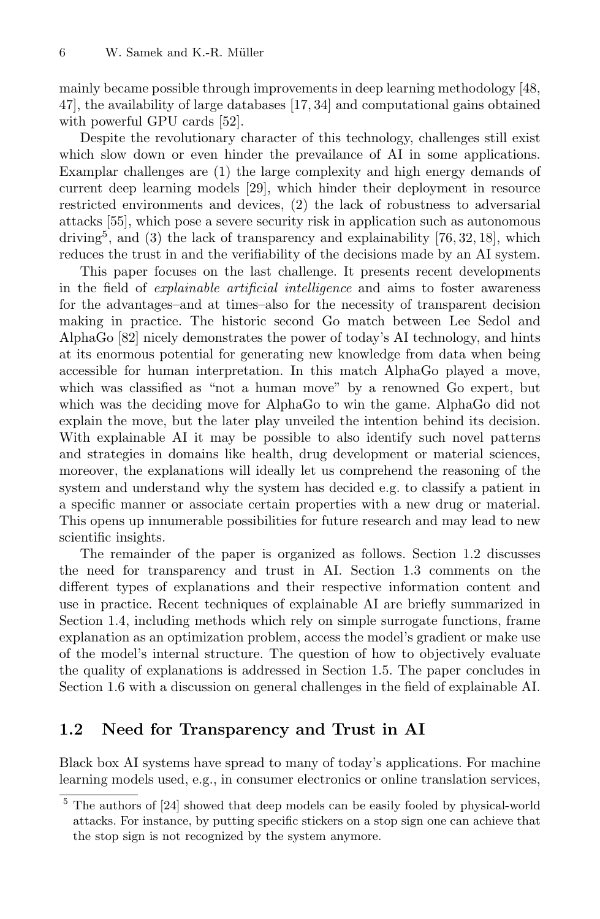mainly became possible through improvements in deep learning methodology [48, 47], the availability of large databases [17, 34] and computational gains obtained with powerful GPU cards [52].

Despite the revolutionary character of this technology, challenges still exist which slow down or even hinder the prevailance of AI in some applications. Examplar challenges are (1) the large complexity and high energy demands of current deep learning models [29], which hinder their deployment in resource restricted environments and devices, (2) the lack of robustness to adversarial attacks [55], which pose a severe security risk in application such as autonomous driving<sup>5</sup>, and (3) the lack of transparency and explainability  $[76, 32, 18]$ , which reduces the trust in and the verifiability of the decisions made by an AI system.

This paper focuses on the last challenge. It presents recent developments in the field of *explainable artificial intelligence* and aims to foster awareness for the advantages–and at times–also for the necessity of transparent decision making in practice. The historic second Go match between Lee Sedol and AlphaGo [82] nicely demonstrates the power of today's AI technology, and hints at its enormous potential for generating new knowledge from data when being accessible for human interpretation. In this match AlphaGo played a move, which was classified as "not a human move" by a renowned Go expert, but which was the deciding move for AlphaGo to win the game. AlphaGo did not explain the move, but the later play unveiled the intention behind its decision. With explainable AI it may be possible to also identify such novel patterns and strategies in domains like health, drug development or material sciences, moreover, the explanations will ideally let us comprehend the reasoning of the system and understand why the system has decided e.g. to classify a patient in a specific manner or associate certain properties with a new drug or material. This opens up innumerable possibilities for future research and may lead to new scientific insights.

The remainder of the paper is organized as follows. Section 1.2 discusses the need for transparency and trust in AI. Section 1.3 comments on the different types of explanations and their respective information content and use in practice. Recent techniques of explainable AI are briefly summarized in Section 1.4, including methods which rely on simple surrogate functions, frame explanation as an optimization problem, access the model's gradient or make use of the model's internal structure. The question of how to objectively evaluate the quality of explanations is addressed in Section 1.5. The paper concludes in Section 1.6 with a discussion on general challenges in the field of explainable AI.

# 1.2 Need for Transparency and Trust in AI

Black box AI systems have spread to many of today's applications. For machine learning models used, e.g., in consumer electronics or online translation services,

 $^5$  The authors of  $\left[ 24\right]$  showed that deep models can be easily fooled by physical-world attacks. For instance, by putting specific stickers on a stop sign one can achieve that the stop sign is not recognized by the system anymore.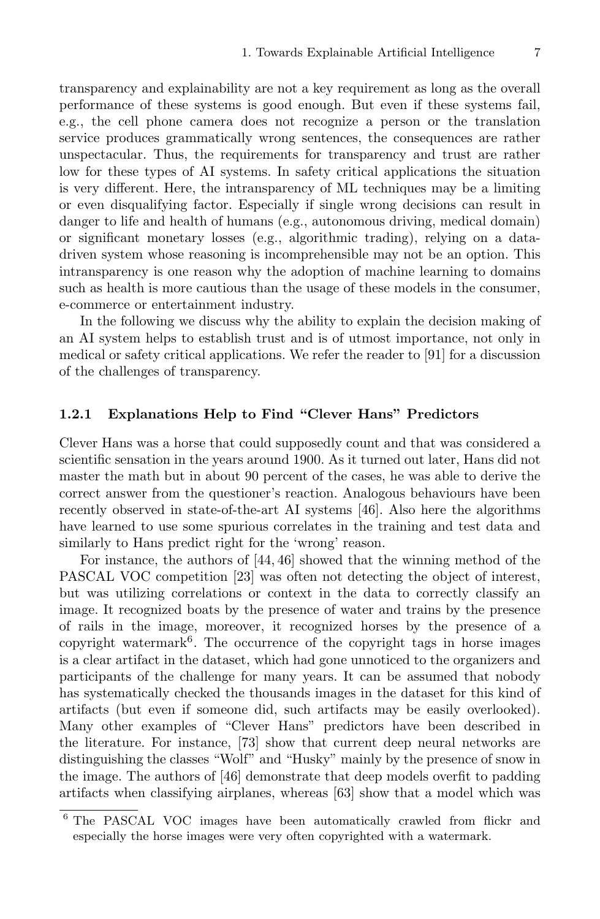transparency and explainability are not a key requirement as long as the overall performance of these systems is good enough. But even if these systems fail, e.g., the cell phone camera does not recognize a person or the translation service produces grammatically wrong sentences, the consequences are rather unspectacular. Thus, the requirements for transparency and trust are rather low for these types of AI systems. In safety critical applications the situation is very different. Here, the intransparency of ML techniques may be a limiting or even disqualifying factor. Especially if single wrong decisions can result in danger to life and health of humans (e.g., autonomous driving, medical domain) or significant monetary losses (e.g., algorithmic trading), relying on a datadriven system whose reasoning is incomprehensible may not be an option. This intransparency is one reason why the adoption of machine learning to domains such as health is more cautious than the usage of these models in the consumer, e-commerce or entertainment industry.

In the following we discuss why the ability to explain the decision making of an AI system helps to establish trust and is of utmost importance, not only in medical or safety critical applications. We refer the reader to [91] for a discussion of the challenges of transparency.

#### 1.2.1 Explanations Help to Find "Clever Hans" Predictors

Clever Hans was a horse that could supposedly count and that was considered a scientific sensation in the years around 1900. As it turned out later, Hans did not master the math but in about 90 percent of the cases, he was able to derive the correct answer from the questioner's reaction. Analogous behaviours have been recently observed in state-of-the-art AI systems [46]. Also here the algorithms have learned to use some spurious correlates in the training and test data and similarly to Hans predict right for the 'wrong' reason.

For instance, the authors of [44, 46] showed that the winning method of the PASCAL VOC competition [23] was often not detecting the object of interest, but was utilizing correlations or context in the data to correctly classify an image. It recognized boats by the presence of water and trains by the presence of rails in the image, moreover, it recognized horses by the presence of a copyright watermark $6$ . The occurrence of the copyright tags in horse images is a clear artifact in the dataset, which had gone unnoticed to the organizers and participants of the challenge for many years. It can be assumed that nobody has systematically checked the thousands images in the dataset for this kind of artifacts (but even if someone did, such artifacts may be easily overlooked). Many other examples of "Clever Hans" predictors have been described in the literature. For instance, [73] show that current deep neural networks are distinguishing the classes "Wolf" and "Husky" mainly by the presence of snow in the image. The authors of [46] demonstrate that deep models overfit to padding artifacts when classifying airplanes, whereas [63] show that a model which was

<sup>6</sup> The PASCAL VOC images have been automatically crawled from flickr and especially the horse images were very often copyrighted with a watermark.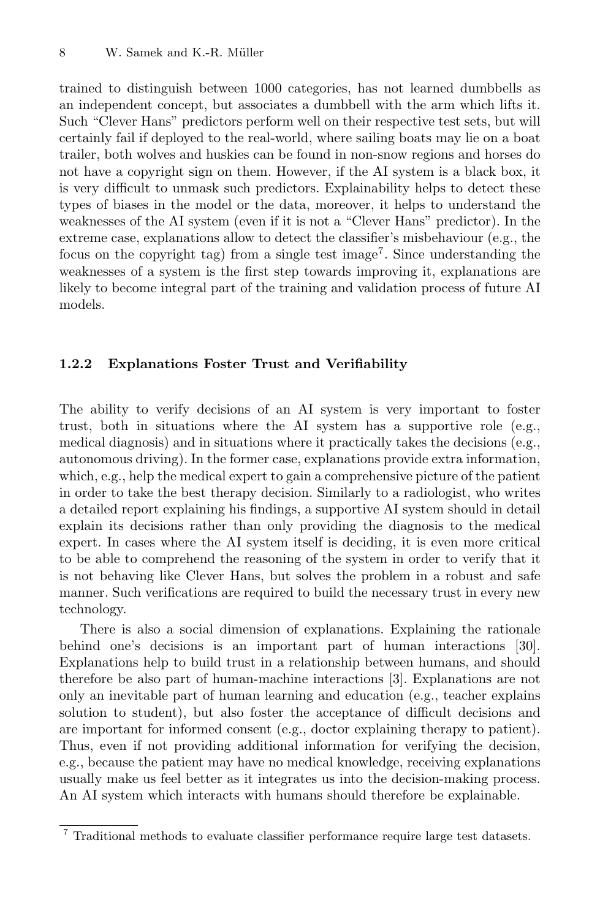trained to distinguish between 1000 categories, has not learned dumbbells as an independent concept, but associates a dumbbell with the arm which lifts it. Such "Clever Hans" predictors perform well on their respective test sets, but will certainly fail if deployed to the real-world, where sailing boats may lie on a boat trailer, both wolves and huskies can be found in non-snow regions and horses do not have a copyright sign on them. However, if the AI system is a black box, it is very difficult to unmask such predictors. Explainability helps to detect these types of biases in the model or the data, moreover, it helps to understand the weaknesses of the AI system (even if it is not a "Clever Hans" predictor). In the extreme case, explanations allow to detect the classifier's misbehaviour (e.g., the focus on the copyright tag) from a single test image<sup>7</sup>. Since understanding the weaknesses of a system is the first step towards improving it, explanations are likely to become integral part of the training and validation process of future AI models.

#### 1.2.2 Explanations Foster Trust and Verifiability

The ability to verify decisions of an AI system is very important to foster trust, both in situations where the AI system has a supportive role (e.g., medical diagnosis) and in situations where it practically takes the decisions (e.g., autonomous driving). In the former case, explanations provide extra information, which, e.g., help the medical expert to gain a comprehensive picture of the patient in order to take the best therapy decision. Similarly to a radiologist, who writes a detailed report explaining his findings, a supportive AI system should in detail explain its decisions rather than only providing the diagnosis to the medical expert. In cases where the AI system itself is deciding, it is even more critical to be able to comprehend the reasoning of the system in order to verify that it is not behaving like Clever Hans, but solves the problem in a robust and safe manner. Such verifications are required to build the necessary trust in every new technology.

There is also a social dimension of explanations. Explaining the rationale behind one's decisions is an important part of human interactions [30]. Explanations help to build trust in a relationship between humans, and should therefore be also part of human-machine interactions [3]. Explanations are not only an inevitable part of human learning and education (e.g., teacher explains solution to student), but also foster the acceptance of difficult decisions and are important for informed consent (e.g., doctor explaining therapy to patient). Thus, even if not providing additional information for verifying the decision, e.g., because the patient may have no medical knowledge, receiving explanations usually make us feel better as it integrates us into the decision-making process. An AI system which interacts with humans should therefore be explainable.

<sup>7</sup> Traditional methods to evaluate classifier performance require large test datasets.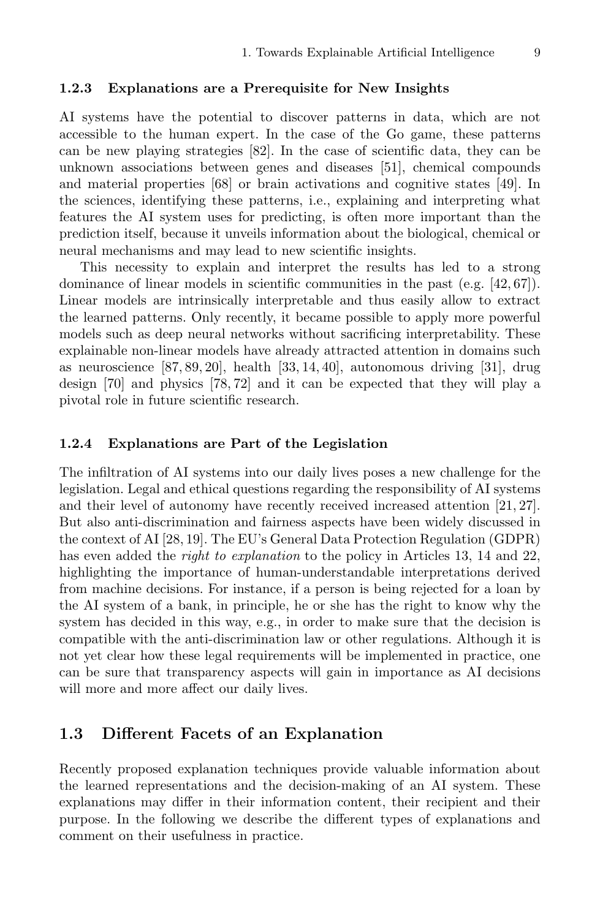#### 1.2.3 Explanations are a Prerequisite for New Insights

AI systems have the potential to discover patterns in data, which are not accessible to the human expert. In the case of the Go game, these patterns can be new playing strategies [82]. In the case of scientific data, they can be unknown associations between genes and diseases [51], chemical compounds and material properties [68] or brain activations and cognitive states [49]. In the sciences, identifying these patterns, i.e., explaining and interpreting what features the AI system uses for predicting, is often more important than the prediction itself, because it unveils information about the biological, chemical or neural mechanisms and may lead to new scientific insights.

This necessity to explain and interpret the results has led to a strong dominance of linear models in scientific communities in the past (e.g. [42, 67]). Linear models are intrinsically interpretable and thus easily allow to extract the learned patterns. Only recently, it became possible to apply more powerful models such as deep neural networks without sacrificing interpretability. These explainable non-linear models have already attracted attention in domains such as neuroscience  $[87, 89, 20]$ , health  $[33, 14, 40]$ , autonomous driving  $[31]$ , drug design [70] and physics [78, 72] and it can be expected that they will play a pivotal role in future scientific research.

#### 1.2.4 Explanations are Part of the Legislation

The infiltration of AI systems into our daily lives poses a new challenge for the legislation. Legal and ethical questions regarding the responsibility of AI systems and their level of autonomy have recently received increased attention [21, 27]. But also anti-discrimination and fairness aspects have been widely discussed in the context of AI [28, 19]. The EU's General Data Protection Regulation (GDPR) has even added the *right to explanation* to the policy in Articles 13, 14 and 22, highlighting the importance of human-understandable interpretations derived from machine decisions. For instance, if a person is being rejected for a loan by the AI system of a bank, in principle, he or she has the right to know why the system has decided in this way, e.g., in order to make sure that the decision is compatible with the anti-discrimination law or other regulations. Although it is not yet clear how these legal requirements will be implemented in practice, one can be sure that transparency aspects will gain in importance as AI decisions will more and more affect our daily lives.

# 1.3 Different Facets of an Explanation

Recently proposed explanation techniques provide valuable information about the learned representations and the decision-making of an AI system. These explanations may differ in their information content, their recipient and their purpose. In the following we describe the different types of explanations and comment on their usefulness in practice.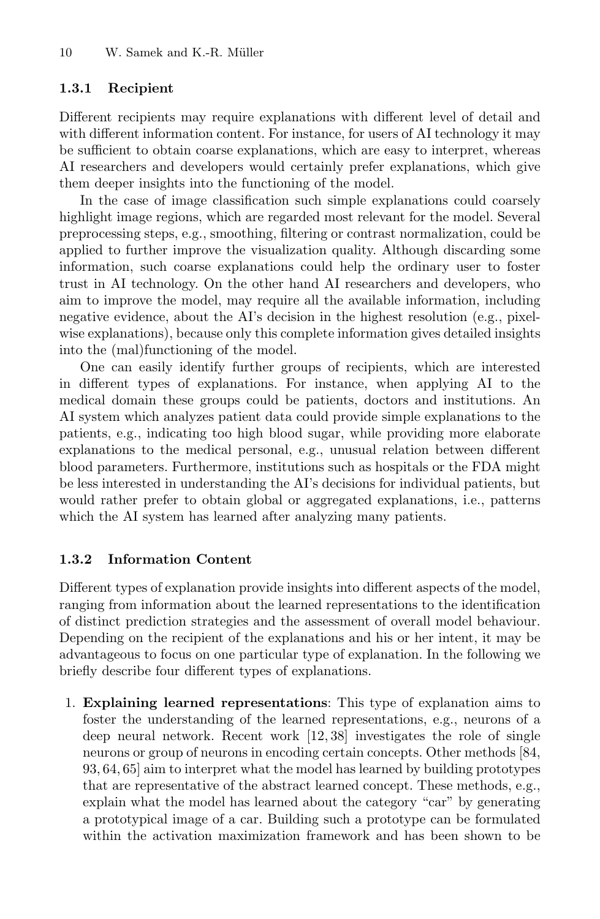#### 1.3.1 Recipient

Different recipients may require explanations with different level of detail and with different information content. For instance, for users of AI technology it may be sufficient to obtain coarse explanations, which are easy to interpret, whereas AI researchers and developers would certainly prefer explanations, which give them deeper insights into the functioning of the model.

In the case of image classification such simple explanations could coarsely highlight image regions, which are regarded most relevant for the model. Several preprocessing steps, e.g., smoothing, filtering or contrast normalization, could be applied to further improve the visualization quality. Although discarding some information, such coarse explanations could help the ordinary user to foster trust in AI technology. On the other hand AI researchers and developers, who aim to improve the model, may require all the available information, including negative evidence, about the AI's decision in the highest resolution (e.g., pixelwise explanations), because only this complete information gives detailed insights into the (mal)functioning of the model.

One can easily identify further groups of recipients, which are interested in different types of explanations. For instance, when applying AI to the medical domain these groups could be patients, doctors and institutions. An AI system which analyzes patient data could provide simple explanations to the patients, e.g., indicating too high blood sugar, while providing more elaborate explanations to the medical personal, e.g., unusual relation between different blood parameters. Furthermore, institutions such as hospitals or the FDA might be less interested in understanding the AI's decisions for individual patients, but would rather prefer to obtain global or aggregated explanations, i.e., patterns which the AI system has learned after analyzing many patients.

#### 1.3.2 Information Content

Different types of explanation provide insights into different aspects of the model, ranging from information about the learned representations to the identification of distinct prediction strategies and the assessment of overall model behaviour. Depending on the recipient of the explanations and his or her intent, it may be advantageous to focus on one particular type of explanation. In the following we briefly describe four different types of explanations.

1. Explaining learned representations: This type of explanation aims to foster the understanding of the learned representations, e.g., neurons of a deep neural network. Recent work [12, 38] investigates the role of single neurons or group of neurons in encoding certain concepts. Other methods [84, 93, 64, 65] aim to interpret what the model has learned by building prototypes that are representative of the abstract learned concept. These methods, e.g., explain what the model has learned about the category "car" by generating a prototypical image of a car. Building such a prototype can be formulated within the activation maximization framework and has been shown to be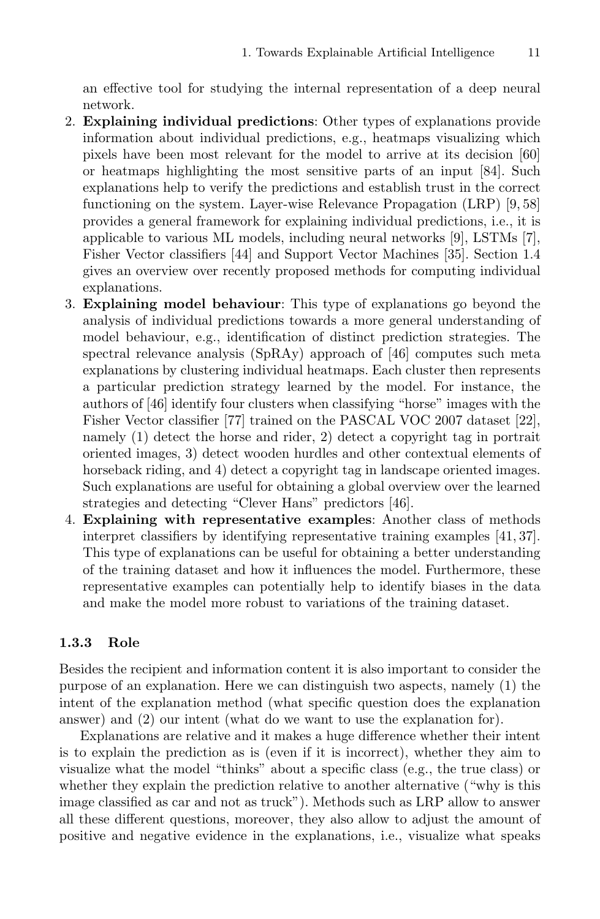an effective tool for studying the internal representation of a deep neural network.

- 2. Explaining individual predictions: Other types of explanations provide information about individual predictions, e.g., heatmaps visualizing which pixels have been most relevant for the model to arrive at its decision [60] or heatmaps highlighting the most sensitive parts of an input [84]. Such explanations help to verify the predictions and establish trust in the correct functioning on the system. Layer-wise Relevance Propagation (LRP) [9, 58] provides a general framework for explaining individual predictions, i.e., it is applicable to various ML models, including neural networks [9], LSTMs [7], Fisher Vector classifiers [44] and Support Vector Machines [35]. Section 1.4 gives an overview over recently proposed methods for computing individual explanations.
- 3. Explaining model behaviour: This type of explanations go beyond the analysis of individual predictions towards a more general understanding of model behaviour, e.g., identification of distinct prediction strategies. The spectral relevance analysis (SpRAy) approach of [46] computes such meta explanations by clustering individual heatmaps. Each cluster then represents a particular prediction strategy learned by the model. For instance, the authors of [46] identify four clusters when classifying "horse" images with the Fisher Vector classifier [77] trained on the PASCAL VOC 2007 dataset [22], namely (1) detect the horse and rider, 2) detect a copyright tag in portrait oriented images, 3) detect wooden hurdles and other contextual elements of horseback riding, and 4) detect a copyright tag in landscape oriented images. Such explanations are useful for obtaining a global overview over the learned strategies and detecting "Clever Hans" predictors [46].
- 4. Explaining with representative examples: Another class of methods interpret classifiers by identifying representative training examples [41, 37]. This type of explanations can be useful for obtaining a better understanding of the training dataset and how it influences the model. Furthermore, these representative examples can potentially help to identify biases in the data and make the model more robust to variations of the training dataset.

#### 1.3.3 Role

Besides the recipient and information content it is also important to consider the purpose of an explanation. Here we can distinguish two aspects, namely (1) the intent of the explanation method (what specific question does the explanation answer) and (2) our intent (what do we want to use the explanation for).

Explanations are relative and it makes a huge difference whether their intent is to explain the prediction as is (even if it is incorrect), whether they aim to visualize what the model "thinks" about a specific class (e.g., the true class) or whether they explain the prediction relative to another alternative ("why is this image classified as car and not as truck"). Methods such as LRP allow to answer all these different questions, moreover, they also allow to adjust the amount of positive and negative evidence in the explanations, i.e., visualize what speaks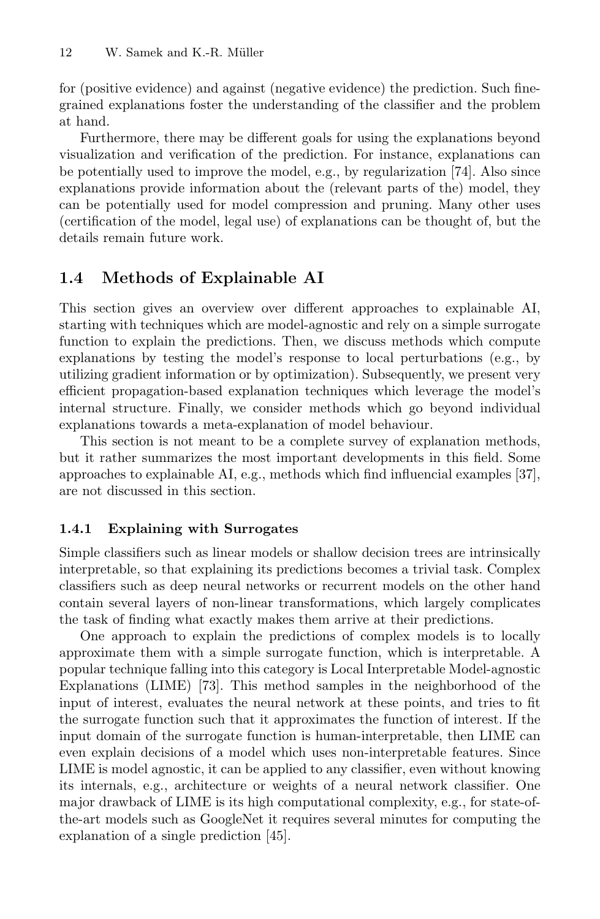for (positive evidence) and against (negative evidence) the prediction. Such finegrained explanations foster the understanding of the classifier and the problem at hand.

Furthermore, there may be different goals for using the explanations beyond visualization and verification of the prediction. For instance, explanations can be potentially used to improve the model, e.g., by regularization [74]. Also since explanations provide information about the (relevant parts of the) model, they can be potentially used for model compression and pruning. Many other uses (certification of the model, legal use) of explanations can be thought of, but the details remain future work.

# 1.4 Methods of Explainable AI

This section gives an overview over different approaches to explainable AI, starting with techniques which are model-agnostic and rely on a simple surrogate function to explain the predictions. Then, we discuss methods which compute explanations by testing the model's response to local perturbations (e.g., by utilizing gradient information or by optimization). Subsequently, we present very efficient propagation-based explanation techniques which leverage the model's internal structure. Finally, we consider methods which go beyond individual explanations towards a meta-explanation of model behaviour.

This section is not meant to be a complete survey of explanation methods, but it rather summarizes the most important developments in this field. Some approaches to explainable AI, e.g., methods which find influencial examples [37], are not discussed in this section.

# 1.4.1 Explaining with Surrogates

Simple classifiers such as linear models or shallow decision trees are intrinsically interpretable, so that explaining its predictions becomes a trivial task. Complex classifiers such as deep neural networks or recurrent models on the other hand contain several layers of non-linear transformations, which largely complicates the task of finding what exactly makes them arrive at their predictions.

One approach to explain the predictions of complex models is to locally approximate them with a simple surrogate function, which is interpretable. A popular technique falling into this category is Local Interpretable Model-agnostic Explanations (LIME) [73]. This method samples in the neighborhood of the input of interest, evaluates the neural network at these points, and tries to fit the surrogate function such that it approximates the function of interest. If the input domain of the surrogate function is human-interpretable, then LIME can even explain decisions of a model which uses non-interpretable features. Since LIME is model agnostic, it can be applied to any classifier, even without knowing its internals, e.g., architecture or weights of a neural network classifier. One major drawback of LIME is its high computational complexity, e.g., for state-ofthe-art models such as GoogleNet it requires several minutes for computing the explanation of a single prediction [45].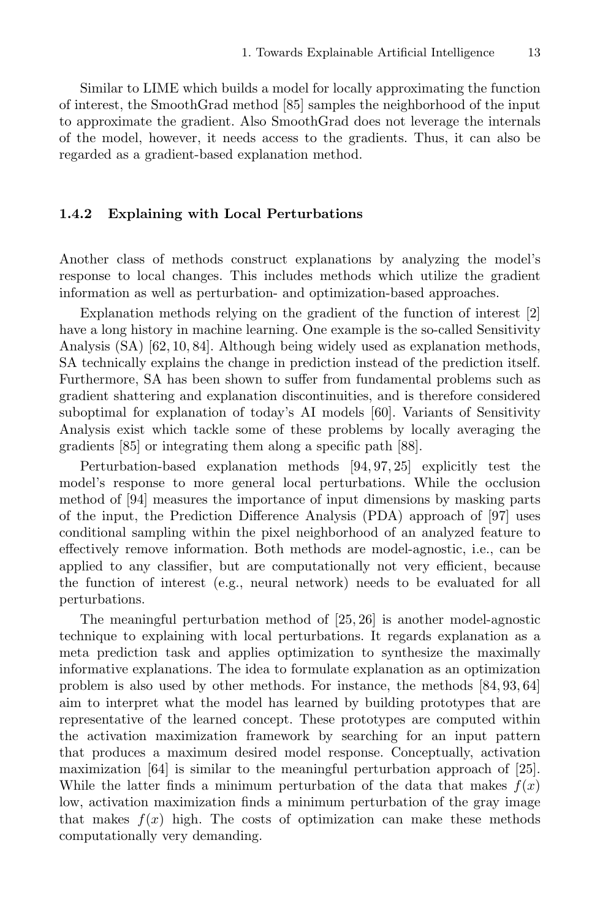Similar to LIME which builds a model for locally approximating the function of interest, the SmoothGrad method [85] samples the neighborhood of the input to approximate the gradient. Also SmoothGrad does not leverage the internals of the model, however, it needs access to the gradients. Thus, it can also be regarded as a gradient-based explanation method.

#### 1.4.2 Explaining with Local Perturbations

Another class of methods construct explanations by analyzing the model's response to local changes. This includes methods which utilize the gradient information as well as perturbation- and optimization-based approaches.

Explanation methods relying on the gradient of the function of interest [2] have a long history in machine learning. One example is the so-called Sensitivity Analysis (SA) [62, 10, 84]. Although being widely used as explanation methods, SA technically explains the change in prediction instead of the prediction itself. Furthermore, SA has been shown to suffer from fundamental problems such as gradient shattering and explanation discontinuities, and is therefore considered suboptimal for explanation of today's AI models [60]. Variants of Sensitivity Analysis exist which tackle some of these problems by locally averaging the gradients [85] or integrating them along a specific path [88].

Perturbation-based explanation methods [94, 97, 25] explicitly test the model's response to more general local perturbations. While the occlusion method of [94] measures the importance of input dimensions by masking parts of the input, the Prediction Difference Analysis (PDA) approach of [97] uses conditional sampling within the pixel neighborhood of an analyzed feature to effectively remove information. Both methods are model-agnostic, i.e., can be applied to any classifier, but are computationally not very efficient, because the function of interest (e.g., neural network) needs to be evaluated for all perturbations.

The meaningful perturbation method of [25, 26] is another model-agnostic technique to explaining with local perturbations. It regards explanation as a meta prediction task and applies optimization to synthesize the maximally informative explanations. The idea to formulate explanation as an optimization problem is also used by other methods. For instance, the methods [84, 93, 64] aim to interpret what the model has learned by building prototypes that are representative of the learned concept. These prototypes are computed within the activation maximization framework by searching for an input pattern that produces a maximum desired model response. Conceptually, activation maximization [64] is similar to the meaningful perturbation approach of [25]. While the latter finds a minimum perturbation of the data that makes  $f(x)$ low, activation maximization finds a minimum perturbation of the gray image that makes  $f(x)$  high. The costs of optimization can make these methods computationally very demanding.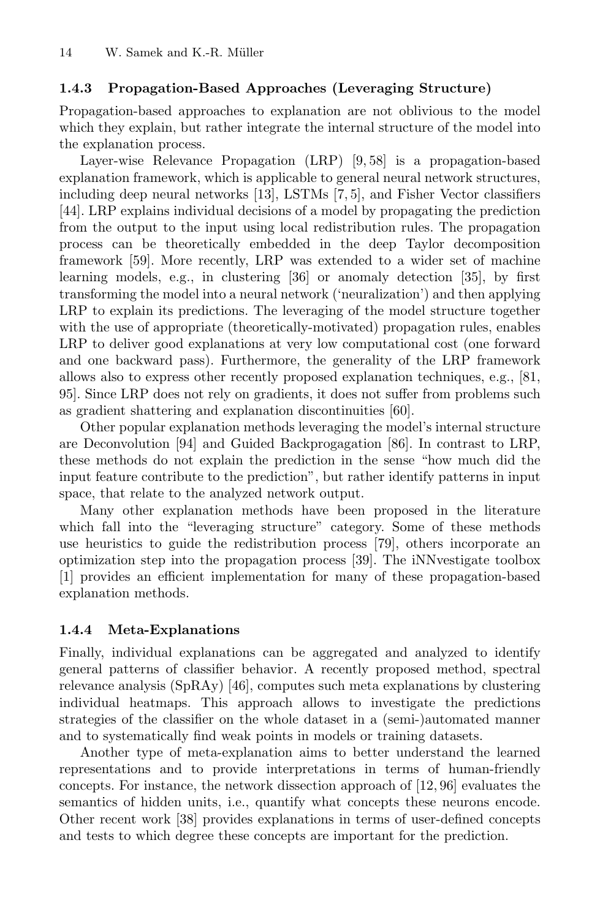### 1.4.3 Propagation-Based Approaches (Leveraging Structure)

Propagation-based approaches to explanation are not oblivious to the model which they explain, but rather integrate the internal structure of the model into the explanation process.

Layer-wise Relevance Propagation (LRP) [9, 58] is a propagation-based explanation framework, which is applicable to general neural network structures, including deep neural networks [13], LSTMs [7, 5], and Fisher Vector classifiers [44]. LRP explains individual decisions of a model by propagating the prediction from the output to the input using local redistribution rules. The propagation process can be theoretically embedded in the deep Taylor decomposition framework [59]. More recently, LRP was extended to a wider set of machine learning models, e.g., in clustering [36] or anomaly detection [35], by first transforming the model into a neural network ('neuralization') and then applying LRP to explain its predictions. The leveraging of the model structure together with the use of appropriate (theoretically-motivated) propagation rules, enables LRP to deliver good explanations at very low computational cost (one forward and one backward pass). Furthermore, the generality of the LRP framework allows also to express other recently proposed explanation techniques, e.g., [81, 95. Since LRP does not rely on gradients, it does not suffer from problems such as gradient shattering and explanation discontinuities [60].

Other popular explanation methods leveraging the model's internal structure are Deconvolution [94] and Guided Backprogagation [86]. In contrast to LRP, these methods do not explain the prediction in the sense "how much did the input feature contribute to the prediction", but rather identify patterns in input space, that relate to the analyzed network output.

Many other explanation methods have been proposed in the literature which fall into the "leveraging structure" category. Some of these methods use heuristics to guide the redistribution process [79], others incorporate an optimization step into the propagation process [39]. The iNNvestigate toolbox [1] provides an efficient implementation for many of these propagation-based explanation methods.

### 1.4.4 Meta-Explanations

Finally, individual explanations can be aggregated and analyzed to identify general patterns of classifier behavior. A recently proposed method, spectral relevance analysis (SpRAy) [46], computes such meta explanations by clustering individual heatmaps. This approach allows to investigate the predictions strategies of the classifier on the whole dataset in a (semi-)automated manner and to systematically find weak points in models or training datasets.

Another type of meta-explanation aims to better understand the learned representations and to provide interpretations in terms of human-friendly concepts. For instance, the network dissection approach of [12, 96] evaluates the semantics of hidden units, i.e., quantify what concepts these neurons encode. Other recent work [38] provides explanations in terms of user-defined concepts and tests to which degree these concepts are important for the prediction.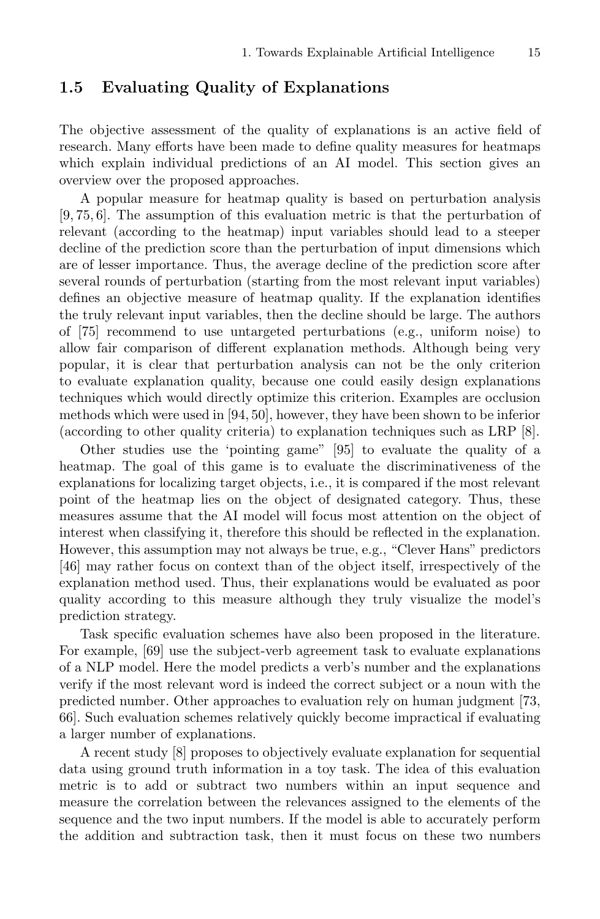# 1.5 Evaluating Quality of Explanations

The objective assessment of the quality of explanations is an active field of research. Many efforts have been made to define quality measures for heatmaps which explain individual predictions of an AI model. This section gives an overview over the proposed approaches.

A popular measure for heatmap quality is based on perturbation analysis [9, 75, 6]. The assumption of this evaluation metric is that the perturbation of relevant (according to the heatmap) input variables should lead to a steeper decline of the prediction score than the perturbation of input dimensions which are of lesser importance. Thus, the average decline of the prediction score after several rounds of perturbation (starting from the most relevant input variables) defines an objective measure of heatmap quality. If the explanation identifies the truly relevant input variables, then the decline should be large. The authors of [75] recommend to use untargeted perturbations (e.g., uniform noise) to allow fair comparison of different explanation methods. Although being very popular, it is clear that perturbation analysis can not be the only criterion to evaluate explanation quality, because one could easily design explanations techniques which would directly optimize this criterion. Examples are occlusion methods which were used in [94, 50], however, they have been shown to be inferior (according to other quality criteria) to explanation techniques such as LRP [8].

Other studies use the 'pointing game" [95] to evaluate the quality of a heatmap. The goal of this game is to evaluate the discriminativeness of the explanations for localizing target objects, i.e., it is compared if the most relevant point of the heatmap lies on the object of designated category. Thus, these measures assume that the AI model will focus most attention on the object of interest when classifying it, therefore this should be reflected in the explanation. However, this assumption may not always be true, e.g., "Clever Hans" predictors [46] may rather focus on context than of the object itself, irrespectively of the explanation method used. Thus, their explanations would be evaluated as poor quality according to this measure although they truly visualize the model's prediction strategy.

Task specific evaluation schemes have also been proposed in the literature. For example, [69] use the subject-verb agreement task to evaluate explanations of a NLP model. Here the model predicts a verb's number and the explanations verify if the most relevant word is indeed the correct subject or a noun with the predicted number. Other approaches to evaluation rely on human judgment [73, 66]. Such evaluation schemes relatively quickly become impractical if evaluating a larger number of explanations.

A recent study [8] proposes to objectively evaluate explanation for sequential data using ground truth information in a toy task. The idea of this evaluation metric is to add or subtract two numbers within an input sequence and measure the correlation between the relevances assigned to the elements of the sequence and the two input numbers. If the model is able to accurately perform the addition and subtraction task, then it must focus on these two numbers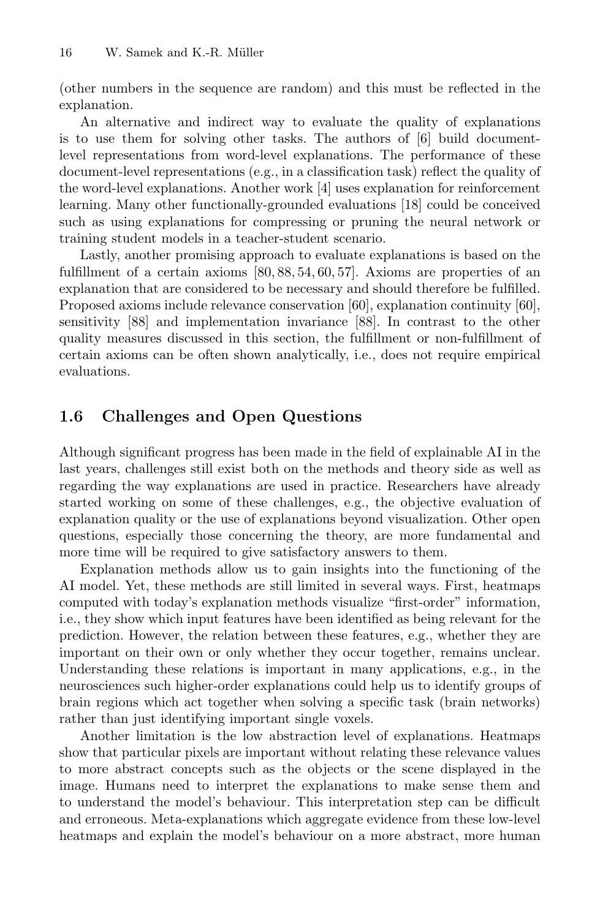(other numbers in the sequence are random) and this must be reflected in the explanation.

An alternative and indirect way to evaluate the quality of explanations is to use them for solving other tasks. The authors of [6] build documentlevel representations from word-level explanations. The performance of these document-level representations (e.g., in a classification task) reflect the quality of the word-level explanations. Another work [4] uses explanation for reinforcement learning. Many other functionally-grounded evaluations [18] could be conceived such as using explanations for compressing or pruning the neural network or training student models in a teacher-student scenario.

Lastly, another promising approach to evaluate explanations is based on the fulfillment of a certain axioms [80, 88, 54, 60, 57]. Axioms are properties of an explanation that are considered to be necessary and should therefore be fulfilled. Proposed axioms include relevance conservation [60], explanation continuity [60], sensitivity [88] and implementation invariance [88]. In contrast to the other quality measures discussed in this section, the fulfillment or non-fulfillment of certain axioms can be often shown analytically, i.e., does not require empirical evaluations.

# 1.6 Challenges and Open Questions

Although significant progress has been made in the field of explainable AI in the last years, challenges still exist both on the methods and theory side as well as regarding the way explanations are used in practice. Researchers have already started working on some of these challenges, e.g., the objective evaluation of explanation quality or the use of explanations beyond visualization. Other open questions, especially those concerning the theory, are more fundamental and more time will be required to give satisfactory answers to them.

Explanation methods allow us to gain insights into the functioning of the AI model. Yet, these methods are still limited in several ways. First, heatmaps computed with today's explanation methods visualize "first-order" information, i.e., they show which input features have been identified as being relevant for the prediction. However, the relation between these features, e.g., whether they are important on their own or only whether they occur together, remains unclear. Understanding these relations is important in many applications, e.g., in the neurosciences such higher-order explanations could help us to identify groups of brain regions which act together when solving a specific task (brain networks) rather than just identifying important single voxels.

Another limitation is the low abstraction level of explanations. Heatmaps show that particular pixels are important without relating these relevance values to more abstract concepts such as the objects or the scene displayed in the image. Humans need to interpret the explanations to make sense them and to understand the model's behaviour. This interpretation step can be difficult and erroneous. Meta-explanations which aggregate evidence from these low-level heatmaps and explain the model's behaviour on a more abstract, more human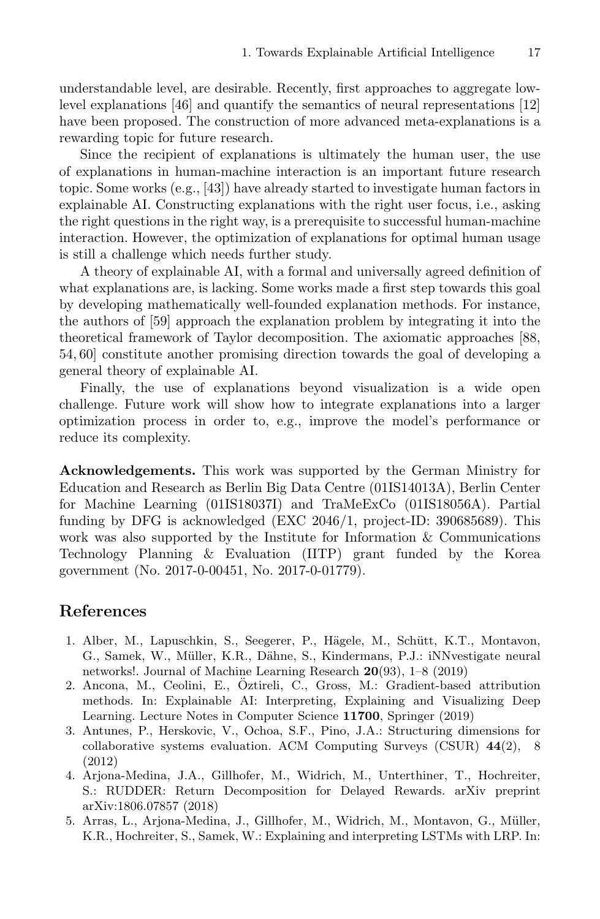understandable level, are desirable. Recently, first approaches to aggregate lowlevel explanations [46] and quantify the semantics of neural representations [12] have been proposed. The construction of more advanced meta-explanations is a rewarding topic for future research.

Since the recipient of explanations is ultimately the human user, the use of explanations in human-machine interaction is an important future research topic. Some works (e.g., [43]) have already started to investigate human factors in explainable AI. Constructing explanations with the right user focus, i.e., asking the right questions in the right way, is a prerequisite to successful human-machine interaction. However, the optimization of explanations for optimal human usage is still a challenge which needs further study.

A theory of explainable AI, with a formal and universally agreed definition of what explanations are, is lacking. Some works made a first step towards this goal by developing mathematically well-founded explanation methods. For instance, the authors of [59] approach the explanation problem by integrating it into the theoretical framework of Taylor decomposition. The axiomatic approaches [88, 54, 60] constitute another promising direction towards the goal of developing a general theory of explainable AI.

Finally, the use of explanations beyond visualization is a wide open challenge. Future work will show how to integrate explanations into a larger optimization process in order to, e.g., improve the model's performance or reduce its complexity.

Acknowledgements. This work was supported by the German Ministry for Education and Research as Berlin Big Data Centre (01IS14013A), Berlin Center for Machine Learning (01IS18037I) and TraMeExCo (01IS18056A). Partial funding by DFG is acknowledged (EXC 2046/1, project-ID: 390685689). This work was also supported by the Institute for Information & Communications Technology Planning & Evaluation (IITP) grant funded by the Korea government (No. 2017-0-00451, No. 2017-0-01779).

# References

- 1. Alber, M., Lapuschkin, S., Seegerer, P., Hägele, M., Schütt, K.T., Montavon, G., Samek, W., Müller, K.R., Dähne, S., Kindermans, P.J.: iNNvestigate neural networks!. Journal of Machine Learning Research 20(93), 1–8 (2019)
- 2. Ancona, M., Ceolini, E., Oztireli, C., Gross, M.: Gradient-based attribution ¨ methods. In: Explainable AI: Interpreting, Explaining and Visualizing Deep Learning. Lecture Notes in Computer Science 11700, Springer (2019)
- 3. Antunes, P., Herskovic, V., Ochoa, S.F., Pino, J.A.: Structuring dimensions for collaborative systems evaluation. ACM Computing Surveys (CSUR) 44(2), 8 (2012)
- 4. Arjona-Medina, J.A., Gillhofer, M., Widrich, M., Unterthiner, T., Hochreiter, S.: RUDDER: Return Decomposition for Delayed Rewards. arXiv preprint arXiv:1806.07857 (2018)
- 5. Arras, L., Arjona-Medina, J., Gillhofer, M., Widrich, M., Montavon, G., Müller, K.R., Hochreiter, S., Samek, W.: Explaining and interpreting LSTMs with LRP. In: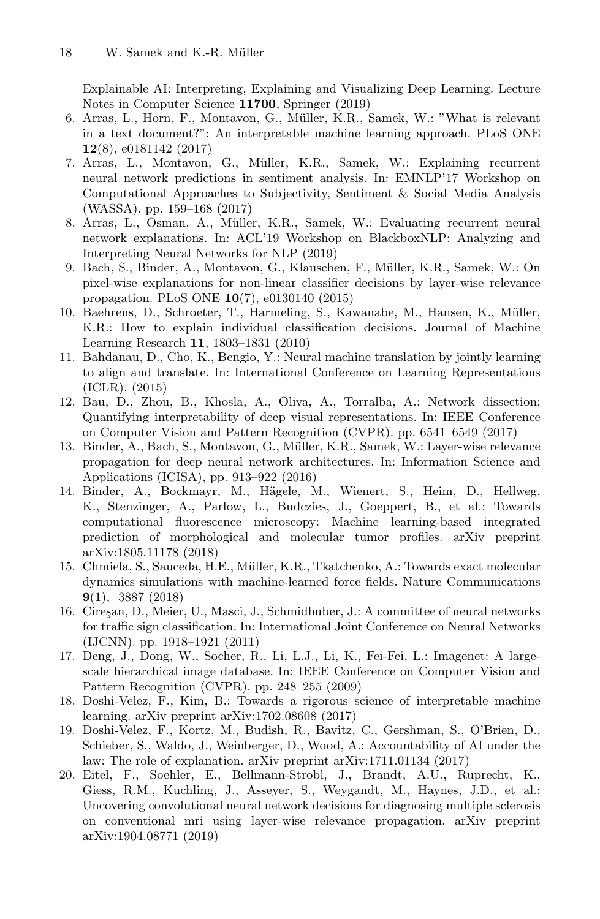Explainable AI: Interpreting, Explaining and Visualizing Deep Learning. Lecture Notes in Computer Science 11700, Springer (2019)

- 6. Arras, L., Horn, F., Montavon, G., Müller, K.R., Samek, W.: "What is relevant in a text document?": An interpretable machine learning approach. PLoS ONE 12(8), e0181142 (2017)
- 7. Arras, L., Montavon, G., M¨uller, K.R., Samek, W.: Explaining recurrent neural network predictions in sentiment analysis. In: EMNLP'17 Workshop on Computational Approaches to Subjectivity, Sentiment & Social Media Analysis (WASSA). pp. 159–168 (2017)
- 8. Arras, L., Osman, A., Müller, K.R., Samek, W.: Evaluating recurrent neural network explanations. In: ACL'19 Workshop on BlackboxNLP: Analyzing and Interpreting Neural Networks for NLP (2019)
- 9. Bach, S., Binder, A., Montavon, G., Klauschen, F., Müller, K.R., Samek, W.: On pixel-wise explanations for non-linear classifier decisions by layer-wise relevance propagation. PLoS ONE 10(7), e0130140 (2015)
- 10. Baehrens, D., Schroeter, T., Harmeling, S., Kawanabe, M., Hansen, K., Müller, K.R.: How to explain individual classification decisions. Journal of Machine Learning Research 11, 1803–1831 (2010)
- 11. Bahdanau, D., Cho, K., Bengio, Y.: Neural machine translation by jointly learning to align and translate. In: International Conference on Learning Representations (ICLR). (2015)
- 12. Bau, D., Zhou, B., Khosla, A., Oliva, A., Torralba, A.: Network dissection: Quantifying interpretability of deep visual representations. In: IEEE Conference on Computer Vision and Pattern Recognition (CVPR). pp. 6541–6549 (2017)
- 13. Binder, A., Bach, S., Montavon, G., Müller, K.R., Samek, W.: Layer-wise relevance propagation for deep neural network architectures. In: Information Science and Applications (ICISA), pp. 913–922 (2016)
- 14. Binder, A., Bockmayr, M., Hägele, M., Wienert, S., Heim, D., Hellweg, K., Stenzinger, A., Parlow, L., Budczies, J., Goeppert, B., et al.: Towards computational fluorescence microscopy: Machine learning-based integrated prediction of morphological and molecular tumor profiles. arXiv preprint arXiv:1805.11178 (2018)
- 15. Chmiela, S., Sauceda, H.E., Müller, K.R., Tkatchenko, A.: Towards exact molecular dynamics simulations with machine-learned force fields. Nature Communications 9(1), 3887 (2018)
- 16. Cireșan, D., Meier, U., Masci, J., Schmidhuber, J.: A committee of neural networks for traffic sign classification. In: International Joint Conference on Neural Networks (IJCNN). pp. 1918–1921 (2011)
- 17. Deng, J., Dong, W., Socher, R., Li, L.J., Li, K., Fei-Fei, L.: Imagenet: A largescale hierarchical image database. In: IEEE Conference on Computer Vision and Pattern Recognition (CVPR). pp. 248–255 (2009)
- 18. Doshi-Velez, F., Kim, B.: Towards a rigorous science of interpretable machine learning. arXiv preprint arXiv:1702.08608 (2017)
- 19. Doshi-Velez, F., Kortz, M., Budish, R., Bavitz, C., Gershman, S., O'Brien, D., Schieber, S., Waldo, J., Weinberger, D., Wood, A.: Accountability of AI under the law: The role of explanation. arXiv preprint arXiv:1711.01134 (2017)
- 20. Eitel, F., Soehler, E., Bellmann-Strobl, J., Brandt, A.U., Ruprecht, K., Giess, R.M., Kuchling, J., Asseyer, S., Weygandt, M., Haynes, J.D., et al.: Uncovering convolutional neural network decisions for diagnosing multiple sclerosis on conventional mri using layer-wise relevance propagation. arXiv preprint arXiv:1904.08771 (2019)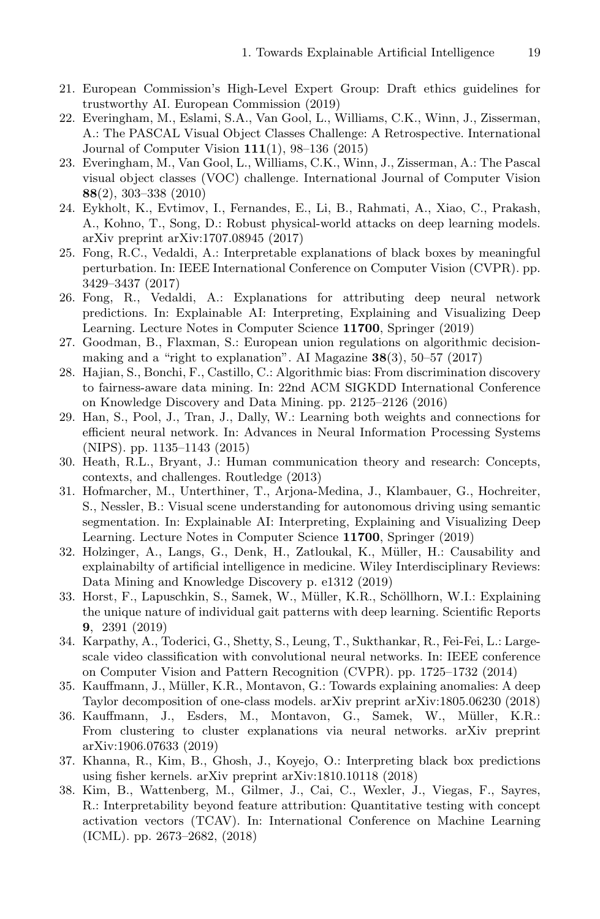- 21. European Commission's High-Level Expert Group: Draft ethics guidelines for trustworthy AI. European Commission (2019)
- 22. Everingham, M., Eslami, S.A., Van Gool, L., Williams, C.K., Winn, J., Zisserman, A.: The PASCAL Visual Object Classes Challenge: A Retrospective. International Journal of Computer Vision 111(1), 98–136 (2015)
- 23. Everingham, M., Van Gool, L., Williams, C.K., Winn, J., Zisserman, A.: The Pascal visual object classes (VOC) challenge. International Journal of Computer Vision 88(2), 303–338 (2010)
- 24. Eykholt, K., Evtimov, I., Fernandes, E., Li, B., Rahmati, A., Xiao, C., Prakash, A., Kohno, T., Song, D.: Robust physical-world attacks on deep learning models. arXiv preprint arXiv:1707.08945 (2017)
- 25. Fong, R.C., Vedaldi, A.: Interpretable explanations of black boxes by meaningful perturbation. In: IEEE International Conference on Computer Vision (CVPR). pp. 3429–3437 (2017)
- 26. Fong, R., Vedaldi, A.: Explanations for attributing deep neural network predictions. In: Explainable AI: Interpreting, Explaining and Visualizing Deep Learning. Lecture Notes in Computer Science 11700, Springer (2019)
- 27. Goodman, B., Flaxman, S.: European union regulations on algorithmic decisionmaking and a "right to explanation". AI Magazine  $38(3)$ , 50–57 (2017)
- 28. Hajian, S., Bonchi, F., Castillo, C.: Algorithmic bias: From discrimination discovery to fairness-aware data mining. In: 22nd ACM SIGKDD International Conference on Knowledge Discovery and Data Mining. pp. 2125–2126 (2016)
- 29. Han, S., Pool, J., Tran, J., Dally, W.: Learning both weights and connections for efficient neural network. In: Advances in Neural Information Processing Systems (NIPS). pp. 1135–1143 (2015)
- 30. Heath, R.L., Bryant, J.: Human communication theory and research: Concepts, contexts, and challenges. Routledge (2013)
- 31. Hofmarcher, M., Unterthiner, T., Arjona-Medina, J., Klambauer, G., Hochreiter, S., Nessler, B.: Visual scene understanding for autonomous driving using semantic segmentation. In: Explainable AI: Interpreting, Explaining and Visualizing Deep Learning. Lecture Notes in Computer Science 11700, Springer (2019)
- 32. Holzinger, A., Langs, G., Denk, H., Zatloukal, K., M¨uller, H.: Causability and explainabilty of artificial intelligence in medicine. Wiley Interdisciplinary Reviews: Data Mining and Knowledge Discovery p. e1312 (2019)
- 33. Horst, F., Lapuschkin, S., Samek, W., Müller, K.R., Schöllhorn, W.I.: Explaining the unique nature of individual gait patterns with deep learning. Scientific Reports 9, 2391 (2019)
- 34. Karpathy, A., Toderici, G., Shetty, S., Leung, T., Sukthankar, R., Fei-Fei, L.: Largescale video classification with convolutional neural networks. In: IEEE conference on Computer Vision and Pattern Recognition (CVPR). pp. 1725–1732 (2014)
- 35. Kauffmann, J., Müller, K.R., Montavon, G.: Towards explaining anomalies: A deep Taylor decomposition of one-class models. arXiv preprint arXiv:1805.06230 (2018)
- 36. Kauffmann, J., Esders, M., Montavon, G., Samek, W., Müller, K.R.: From clustering to cluster explanations via neural networks. arXiv preprint arXiv:1906.07633 (2019)
- 37. Khanna, R., Kim, B., Ghosh, J., Koyejo, O.: Interpreting black box predictions using fisher kernels. arXiv preprint arXiv:1810.10118 (2018)
- 38. Kim, B., Wattenberg, M., Gilmer, J., Cai, C., Wexler, J., Viegas, F., Sayres, R.: Interpretability beyond feature attribution: Quantitative testing with concept activation vectors (TCAV). In: International Conference on Machine Learning (ICML). pp. 2673–2682, (2018)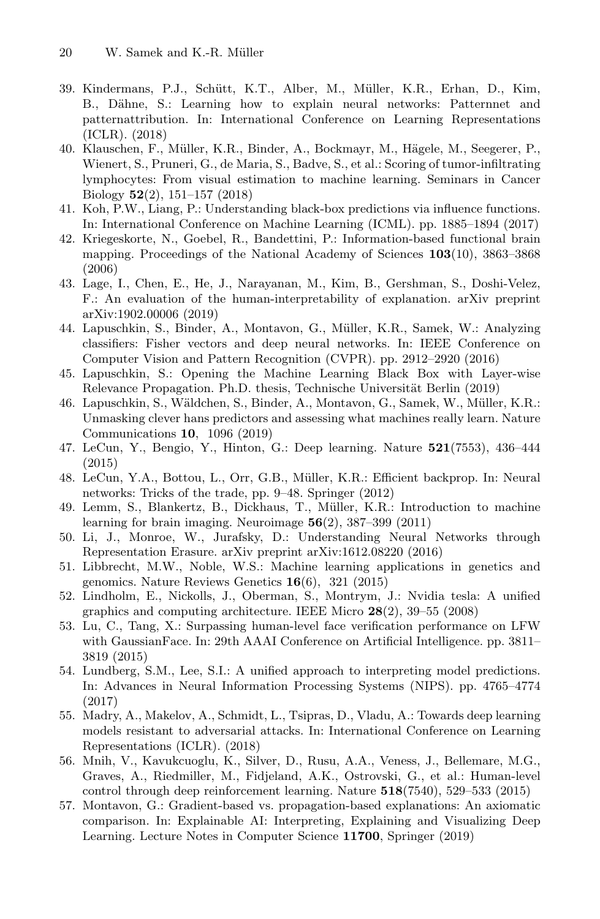- 39. Kindermans, P.J., Schütt, K.T., Alber, M., Müller, K.R., Erhan, D., Kim, B., Dähne, S.: Learning how to explain neural networks: Patternnet and patternattribution. In: International Conference on Learning Representations (ICLR). (2018)
- 40. Klauschen, F., Müller, K.R., Binder, A., Bockmayr, M., Hägele, M., Seegerer, P., Wienert, S., Pruneri, G., de Maria, S., Badve, S., et al.: Scoring of tumor-infiltrating lymphocytes: From visual estimation to machine learning. Seminars in Cancer Biology 52(2), 151–157 (2018)
- 41. Koh, P.W., Liang, P.: Understanding black-box predictions via influence functions. In: International Conference on Machine Learning (ICML). pp. 1885–1894 (2017)
- 42. Kriegeskorte, N., Goebel, R., Bandettini, P.: Information-based functional brain mapping. Proceedings of the National Academy of Sciences 103(10), 3863–3868 (2006)
- 43. Lage, I., Chen, E., He, J., Narayanan, M., Kim, B., Gershman, S., Doshi-Velez, F.: An evaluation of the human-interpretability of explanation. arXiv preprint arXiv:1902.00006 (2019)
- 44. Lapuschkin, S., Binder, A., Montavon, G., Müller, K.R., Samek, W.: Analyzing classifiers: Fisher vectors and deep neural networks. In: IEEE Conference on Computer Vision and Pattern Recognition (CVPR). pp. 2912–2920 (2016)
- 45. Lapuschkin, S.: Opening the Machine Learning Black Box with Layer-wise Relevance Propagation. Ph.D. thesis, Technische Universität Berlin (2019)
- 46. Lapuschkin, S., Wäldchen, S., Binder, A., Montavon, G., Samek, W., Müller, K.R.: Unmasking clever hans predictors and assessing what machines really learn. Nature Communications 10, 1096 (2019)
- 47. LeCun, Y., Bengio, Y., Hinton, G.: Deep learning. Nature 521(7553), 436–444 (2015)
- 48. LeCun, Y.A., Bottou, L., Orr, G.B., Müller, K.R.: Efficient backprop. In: Neural networks: Tricks of the trade, pp. 9–48. Springer (2012)
- 49. Lemm, S., Blankertz, B., Dickhaus, T., Müller, K.R.: Introduction to machine learning for brain imaging. Neuroimage  $56(2)$ , 387–399 (2011)
- 50. Li, J., Monroe, W., Jurafsky, D.: Understanding Neural Networks through Representation Erasure. arXiv preprint arXiv:1612.08220 (2016)
- 51. Libbrecht, M.W., Noble, W.S.: Machine learning applications in genetics and genomics. Nature Reviews Genetics  $16(6)$ , 321 (2015)
- 52. Lindholm, E., Nickolls, J., Oberman, S., Montrym, J.: Nvidia tesla: A unified graphics and computing architecture. IEEE Micro 28(2), 39–55 (2008)
- 53. Lu, C., Tang, X.: Surpassing human-level face verification performance on LFW with GaussianFace. In: 29th AAAI Conference on Artificial Intelligence. pp. 3811– 3819 (2015)
- 54. Lundberg, S.M., Lee, S.I.: A unified approach to interpreting model predictions. In: Advances in Neural Information Processing Systems (NIPS). pp. 4765–4774 (2017)
- 55. Madry, A., Makelov, A., Schmidt, L., Tsipras, D., Vladu, A.: Towards deep learning models resistant to adversarial attacks. In: International Conference on Learning Representations (ICLR). (2018)
- 56. Mnih, V., Kavukcuoglu, K., Silver, D., Rusu, A.A., Veness, J., Bellemare, M.G., Graves, A., Riedmiller, M., Fidjeland, A.K., Ostrovski, G., et al.: Human-level control through deep reinforcement learning. Nature 518(7540), 529–533 (2015)
- 57. Montavon, G.: Gradient-based vs. propagation-based explanations: An axiomatic comparison. In: Explainable AI: Interpreting, Explaining and Visualizing Deep Learning. Lecture Notes in Computer Science 11700, Springer (2019)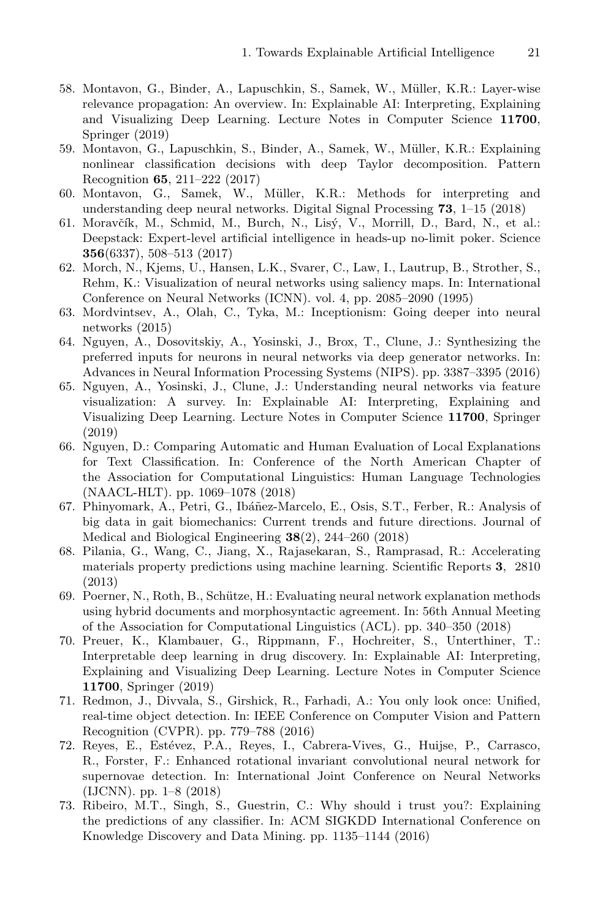- 58. Montavon, G., Binder, A., Lapuschkin, S., Samek, W., Müller, K.R.: Layer-wise relevance propagation: An overview. In: Explainable AI: Interpreting, Explaining and Visualizing Deep Learning. Lecture Notes in Computer Science 11700, Springer (2019)
- 59. Montavon, G., Lapuschkin, S., Binder, A., Samek, W., Müller, K.R.: Explaining nonlinear classification decisions with deep Taylor decomposition. Pattern Recognition 65, 211–222 (2017)
- 60. Montavon, G., Samek, W., Müller, K.R.: Methods for interpreting and understanding deep neural networks. Digital Signal Processing 73, 1–15 (2018)
- 61. Moravčík, M., Schmid, M., Burch, N., Lisý, V., Morrill, D., Bard, N., et al.: Deepstack: Expert-level artificial intelligence in heads-up no-limit poker. Science 356(6337), 508–513 (2017)
- 62. Morch, N., Kjems, U., Hansen, L.K., Svarer, C., Law, I., Lautrup, B., Strother, S., Rehm, K.: Visualization of neural networks using saliency maps. In: International Conference on Neural Networks (ICNN). vol. 4, pp. 2085–2090 (1995)
- 63. Mordvintsev, A., Olah, C., Tyka, M.: Inceptionism: Going deeper into neural networks (2015)
- 64. Nguyen, A., Dosovitskiy, A., Yosinski, J., Brox, T., Clune, J.: Synthesizing the preferred inputs for neurons in neural networks via deep generator networks. In: Advances in Neural Information Processing Systems (NIPS). pp. 3387–3395 (2016)
- 65. Nguyen, A., Yosinski, J., Clune, J.: Understanding neural networks via feature visualization: A survey. In: Explainable AI: Interpreting, Explaining and Visualizing Deep Learning. Lecture Notes in Computer Science 11700, Springer (2019)
- 66. Nguyen, D.: Comparing Automatic and Human Evaluation of Local Explanations for Text Classification. In: Conference of the North American Chapter of the Association for Computational Linguistics: Human Language Technologies (NAACL-HLT). pp. 1069–1078 (2018)
- 67. Phinyomark, A., Petri, G., Ibáñez-Marcelo, E., Osis, S.T., Ferber, R.: Analysis of big data in gait biomechanics: Current trends and future directions. Journal of Medical and Biological Engineering 38(2), 244–260 (2018)
- 68. Pilania, G., Wang, C., Jiang, X., Rajasekaran, S., Ramprasad, R.: Accelerating materials property predictions using machine learning. Scientific Reports 3, 2810 (2013)
- 69. Poerner, N., Roth, B., Schütze, H.: Evaluating neural network explanation methods using hybrid documents and morphosyntactic agreement. In: 56th Annual Meeting of the Association for Computational Linguistics (ACL). pp. 340–350 (2018)
- 70. Preuer, K., Klambauer, G., Rippmann, F., Hochreiter, S., Unterthiner, T.: Interpretable deep learning in drug discovery. In: Explainable AI: Interpreting, Explaining and Visualizing Deep Learning. Lecture Notes in Computer Science 11700, Springer (2019)
- 71. Redmon, J., Divvala, S., Girshick, R., Farhadi, A.: You only look once: Unified, real-time object detection. In: IEEE Conference on Computer Vision and Pattern Recognition (CVPR). pp. 779–788 (2016)
- 72. Reyes, E., Est´evez, P.A., Reyes, I., Cabrera-Vives, G., Huijse, P., Carrasco, R., Forster, F.: Enhanced rotational invariant convolutional neural network for supernovae detection. In: International Joint Conference on Neural Networks (IJCNN). pp. 1–8 (2018)
- 73. Ribeiro, M.T., Singh, S., Guestrin, C.: Why should i trust you?: Explaining the predictions of any classifier. In: ACM SIGKDD International Conference on Knowledge Discovery and Data Mining. pp. 1135–1144 (2016)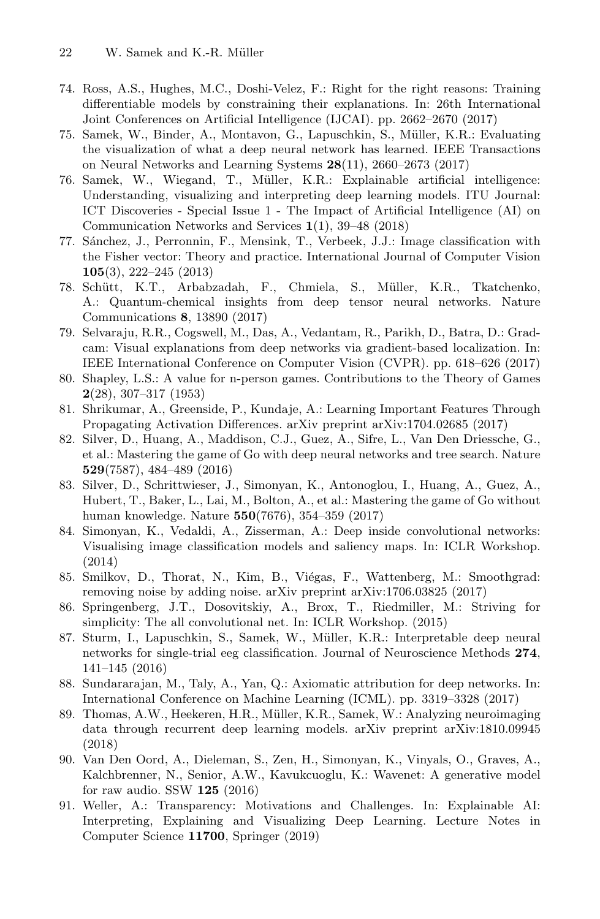- 74. Ross, A.S., Hughes, M.C., Doshi-Velez, F.: Right for the right reasons: Training differentiable models by constraining their explanations. In: 26th International Joint Conferences on Artificial Intelligence (IJCAI). pp. 2662–2670 (2017)
- 75. Samek, W., Binder, A., Montavon, G., Lapuschkin, S., Müller, K.R.: Evaluating the visualization of what a deep neural network has learned. IEEE Transactions on Neural Networks and Learning Systems 28(11), 2660–2673 (2017)
- 76. Samek, W., Wiegand, T., M¨uller, K.R.: Explainable artificial intelligence: Understanding, visualizing and interpreting deep learning models. ITU Journal: ICT Discoveries - Special Issue 1 - The Impact of Artificial Intelligence (AI) on Communication Networks and Services 1(1), 39–48 (2018)
- 77. Sánchez, J., Perronnin, F., Mensink, T., Verbeek, J.J.: Image classification with the Fisher vector: Theory and practice. International Journal of Computer Vision 105(3), 222–245 (2013)
- 78. Schütt, K.T., Arbabzadah, F., Chmiela, S., Müller, K.R., Tkatchenko, A.: Quantum-chemical insights from deep tensor neural networks. Nature Communications 8, 13890 (2017)
- 79. Selvaraju, R.R., Cogswell, M., Das, A., Vedantam, R., Parikh, D., Batra, D.: Gradcam: Visual explanations from deep networks via gradient-based localization. In: IEEE International Conference on Computer Vision (CVPR). pp. 618–626 (2017)
- 80. Shapley, L.S.: A value for n-person games. Contributions to the Theory of Games 2(28), 307–317 (1953)
- 81. Shrikumar, A., Greenside, P., Kundaje, A.: Learning Important Features Through Propagating Activation Differences. arXiv preprint arXiv:1704.02685 (2017)
- 82. Silver, D., Huang, A., Maddison, C.J., Guez, A., Sifre, L., Van Den Driessche, G., et al.: Mastering the game of Go with deep neural networks and tree search. Nature 529(7587), 484–489 (2016)
- 83. Silver, D., Schrittwieser, J., Simonyan, K., Antonoglou, I., Huang, A., Guez, A., Hubert, T., Baker, L., Lai, M., Bolton, A., et al.: Mastering the game of Go without human knowledge. Nature 550(7676), 354–359 (2017)
- 84. Simonyan, K., Vedaldi, A., Zisserman, A.: Deep inside convolutional networks: Visualising image classification models and saliency maps. In: ICLR Workshop. (2014)
- 85. Smilkov, D., Thorat, N., Kim, B., Viégas, F., Wattenberg, M.: Smoothgrad: removing noise by adding noise. arXiv preprint arXiv:1706.03825 (2017)
- 86. Springenberg, J.T., Dosovitskiy, A., Brox, T., Riedmiller, M.: Striving for simplicity: The all convolutional net. In: ICLR Workshop. (2015)
- 87. Sturm, I., Lapuschkin, S., Samek, W., Müller, K.R.: Interpretable deep neural networks for single-trial eeg classification. Journal of Neuroscience Methods 274, 141–145 (2016)
- 88. Sundararajan, M., Taly, A., Yan, Q.: Axiomatic attribution for deep networks. In: International Conference on Machine Learning (ICML). pp. 3319–3328 (2017)
- 89. Thomas, A.W., Heekeren, H.R., M¨uller, K.R., Samek, W.: Analyzing neuroimaging data through recurrent deep learning models. arXiv preprint arXiv:1810.09945 (2018)
- 90. Van Den Oord, A., Dieleman, S., Zen, H., Simonyan, K., Vinyals, O., Graves, A., Kalchbrenner, N., Senior, A.W., Kavukcuoglu, K.: Wavenet: A generative model for raw audio. SSW 125 (2016)
- 91. Weller, A.: Transparency: Motivations and Challenges. In: Explainable AI: Interpreting, Explaining and Visualizing Deep Learning. Lecture Notes in Computer Science 11700, Springer (2019)